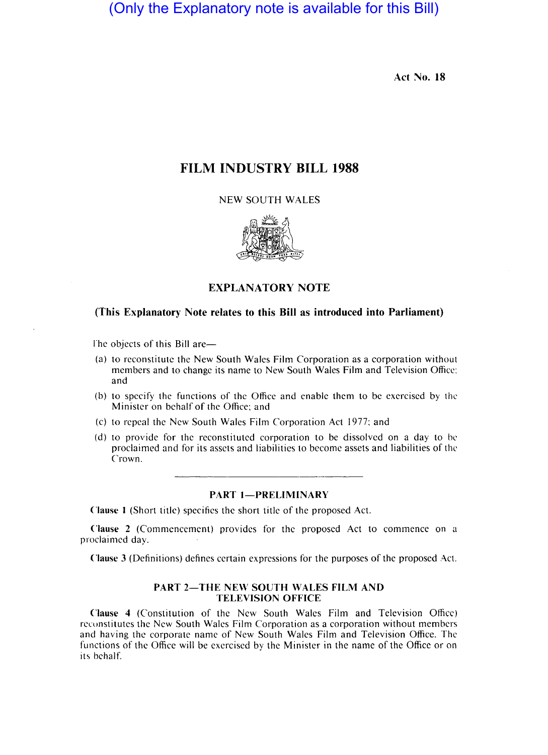(Only the Explanatory note is available for this Bill)

Act No. 18

# FILM INDUSTRY BILL 1988

NEW SOUTH WALES



# EXPLANATORY NOTE

## (This Explanatory Note relates to this Bill as introduced into Parliament)

The objects of this Bill are-

- (a) to reconstitute the New South Wales Film Corporation as a corporation without members and to change its name to New South Wales Film and Television Office: and
- (b) to specify the functions of the Office and enable them to be exercised by thc Minister on behalf of the Office; and
- (c) to repeal the New South Wales Film Corporation Act 1977; and
- (d) to provide for the reconstituted corporation to be dissolved on a day to be proclaimed and for its assets and liabilities to become assets and liabilities of the Crown.

#### PART 1-PRELIMINARY

Clause I (Short title) specifics the short title of the proposed Act.

Clause 2 (Commencement) provides for the proposed Act to commence on a proclaimed day.

Clause 3 (Definitions) defines certain expressions for the purposes of the proposed Act.

#### PART 2-THE NEW SOUTH WALES FILM AND TELEVISION OFFICE

Clause 4 (Constitution of the New South Wales Film and Television Office) recunstitutes the New South Wales Film Corporation as a corporation without members and having the corporate name of New South Wales Film and Television Office. The functions of the Office will be exercised by the Minister in the name of the Office or on its behalf.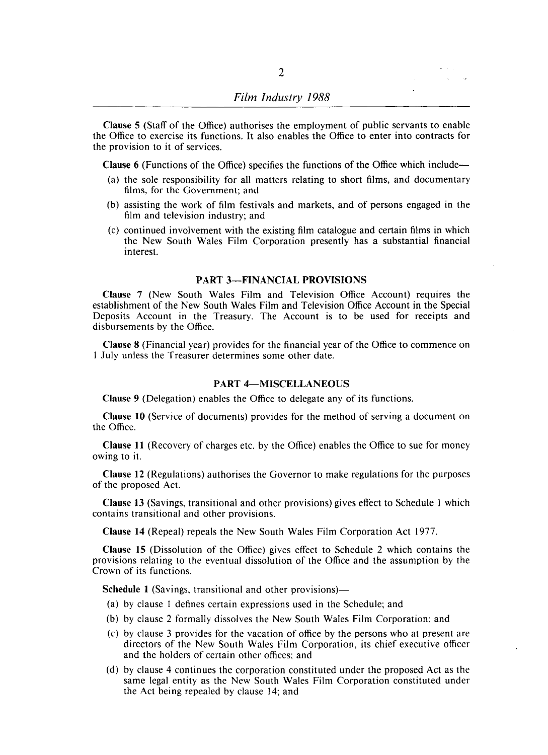Clause 5 (Staff of the Office) authorises the employment of public servants to enable the Office to exercise its functions. It also enables the Office to enter into contracts for the provision to it of services.

Clause 6 (Functions of the Office) specifies the functions of the Office which include-

- (a) the sole responsibility for all matters relating to short films, and documentary films, for the Government; and
- (b) assisting the work of film festivals and markets, and of persons engaged in the film and television industry; and
- (c) continued involvement with the existing film catalogue and certain films in which the New South Wales Film Corporation presently has a substantial financial interest.

#### PART 3-FINANCIAL PROVISIONS

Clause 7 (New South Wales Film and Television Office Account) requires the establishment of the New South Wales Film and Television Office Account in the Special Deposits Account in the Treasury. The Account is to be used for receipts and disbursements by the Office.

Clause 8 (Financial year) provides for the financial year of the Office to commence on I July unless the Treasurer determines some other date.

### PART 4-MISCELLANEOUS

Clause 9 (Delegation) enables the Office to delegate any of its functions.

Clause 10 (Service of documents) provides for the method of serving a document on the Office.

Clause 11 (Recovery of charges etc. by the Office) enables the Office to sue for money owing to it.

Clause 12 (Regulations) authorises the Governor to make regulations for the purposes of the proposed Act.

Clause 13 (Savings, transitional and other provisions) gives effect to Schedule I which contains transitional and other provisions.

Clause 14 (Repeal) repeals the New South Wales Film Corporation Act 1977.

Clause 15 (Dissolution of the Office) gives effect to Schedule 2 which contains the provisions relating to the eventual dissolution of the Office and the assumption by the Crown of its functions.

Schedule 1 (Savings, transitional and other provisions)-

- (a) by clause I defines certain expressions used in the Schedule; and
- (b) by clause 2 formally dissolves the New South Wales Film Corporation; and
- (c) by clause 3 provides for the vacation of office by the persons who at present are directors of the New South Wales Film Corporation, its chief executive officer and the holders of certain other offices; and
- (d) by clause 4 continues the corporation constituted under the proposed Act as the same legal entity as the New South Wales Film Corporation constituted under the Act being repealed by clause 14; and